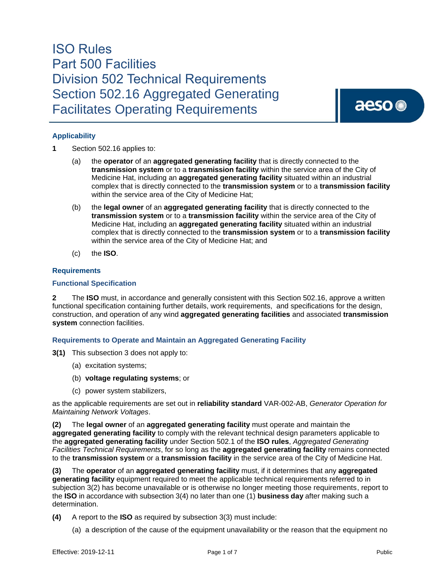aeso<sup>®</sup>

### **Applicability**

- **1** Section 502.16 applies to:
	- (a) the **operator** of an **aggregated generating facility** that is directly connected to the **transmission system** or to a **transmission facility** within the service area of the City of Medicine Hat, including an **aggregated generating facility** situated within an industrial complex that is directly connected to the **transmission system** or to a **transmission facility**  within the service area of the City of Medicine Hat;
	- (b) the **legal owner** of an **aggregated generating facility** that is directly connected to the **transmission system** or to a **transmission facility** within the service area of the City of Medicine Hat, including an **aggregated generating facility** situated within an industrial complex that is directly connected to the **transmission system** or to a **transmission facility**  within the service area of the City of Medicine Hat; and
	- (c) the **ISO**.

### **Requirements**

### **Functional Specification**

**2** The **ISO** must, in accordance and generally consistent with this Section 502.16, approve a written functional specification containing further details, work requirements, and specifications for the design, construction, and operation of any wind **aggregated generating facilities** and associated **transmission system** connection facilities.

### **Requirements to Operate and Maintain an Aggregated Generating Facility**

- **3(1)** This subsection 3 does not apply to:
	- (a) excitation systems;
	- (b) **voltage regulating systems**; or
	- (c) power system stabilizers,

as the applicable requirements are set out in **reliability standard** VAR-002-AB, *Generator Operation for Maintaining Network Voltages*.

**(2)** The **legal owner** of an **aggregated generating facility** must operate and maintain the **aggregated generating facility** to comply with the relevant technical design parameters applicable to the **aggregated generating facility** under Section 502.1 of the **ISO rules**, *Aggregated Generating Facilities Technical Requirements*, for so long as the **aggregated generating facility** remains connected to the **transmission system** or a **transmission facility** in the service area of the City of Medicine Hat.

**(3)** The **operator** of an **aggregated generating facility** must, if it determines that any **aggregated generating facility** equipment required to meet the applicable technical requirements referred to in subjection 3(2) has become unavailable or is otherwise no longer meeting those requirements, report to the **ISO** in accordance with subsection 3(4) no later than one (1) **business day** after making such a determination.

**(4)** A report to the **ISO** as required by subsection 3(3) must include:

(a) a description of the cause of the equipment unavailability or the reason that the equipment no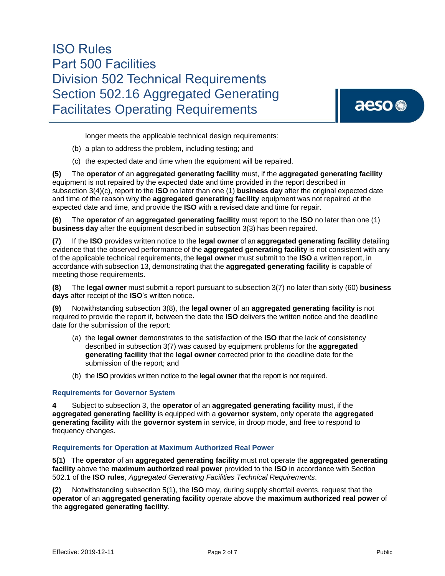aeso<sup>®</sup>

longer meets the applicable technical design requirements;

- (b) a plan to address the problem, including testing; and
- (c) the expected date and time when the equipment will be repaired.

**(5)** The **operator** of an **aggregated generating facility** must, if the **aggregated generating facility**  equipment is not repaired by the expected date and time provided in the report described in subsection 3(4)(c), report to the **ISO** no later than one (1) **business day** after the original expected date and time of the reason why the **aggregated generating facility** equipment was not repaired at the expected date and time, and provide the **ISO** with a revised date and time for repair.

**(6)** The **operator** of an **aggregated generating facility** must report to the **ISO** no later than one (1) **business day** after the equipment described in subsection 3(3) has been repaired.

**(7)** If the **ISO** provides written notice to the **legal owner** of an **aggregated generating facility** detailing evidence that the observed performance of the **aggregated generating facility** is not consistent with any of the applicable technical requirements, the **legal owner** must submit to the **ISO** a written report, in accordance with subsection 13, demonstrating that the **aggregated generating facility** is capable of meeting those requirements.

**(8)** The **legal owner** must submit a report pursuant to subsection 3(7) no later than sixty (60) **business days** after receipt of the **ISO**'s written notice.

**(9)** Notwithstanding subsection 3(8), the **legal owner** of an **aggregated generating facility** is not required to provide the report if, between the date the **ISO** delivers the written notice and the deadline date for the submission of the report:

- (a) the **legal owner** demonstrates to the satisfaction of the **ISO** that the lack of consistency described in subsection 3(7) was caused by equipment problems for the **aggregated generating facility** that the **legal owner** corrected prior to the deadline date for the submission of the report; and
- (b) the **ISO** provides written notice to the **legal owner** that the report is not required.

### **Requirements for Governor System**

**4** Subject to subsection 3, the **operator** of an **aggregated generating facility** must, if the **aggregated generating facility** is equipped with a **governor system**, only operate the **aggregated generating facility** with the **governor system** in service, in droop mode, and free to respond to frequency changes.

### **Requirements for Operation at Maximum Authorized Real Power**

**5(1)** The **operator** of an **aggregated generating facility** must not operate the **aggregated generating facility** above the **maximum authorized real power** provided to the **ISO** in accordance with Section 502.1 of the **ISO rules**, *Aggregated Generating Facilities Technical Requirements*.

**(2)** Notwithstanding subsection 5(1), the **ISO** may, during supply shortfall events, request that the **operator** of an **aggregated generating facility** operate above the **maximum authorized real power** of the **aggregated generating facility**.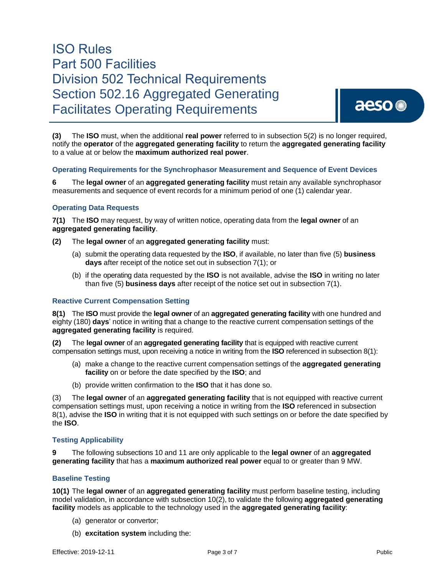**(3)** The **ISO** must, when the additional **real power** referred to in subsection 5(2) is no longer required, notify the **operator** of the **aggregated generating facility** to return the **aggregated generating facility** to a value at or below the **maximum authorized real power**.

### **Operating Requirements for the Synchrophasor Measurement and Sequence of Event Devices**

**6** The **legal owner** of an **aggregated generating facility** must retain any available synchrophasor measurements and sequence of event records for a minimum period of one (1) calendar year.

### **Operating Data Requests**

**7(1)** The **ISO** may request, by way of written notice, operating data from the **legal owner** of an **aggregated generating facility**.

- **(2)** The **legal owner** of an **aggregated generating facility** must:
	- (a) submit the operating data requested by the **ISO**, if available, no later than five (5) **business days** after receipt of the notice set out in subsection 7(1); or
	- (b) if the operating data requested by the **ISO** is not available, advise the **ISO** in writing no later than five (5) **business days** after receipt of the notice set out in subsection 7(1).

### **Reactive Current Compensation Setting**

**8(1)** The **ISO** must provide the **legal owner** of an **aggregated generating facility** with one hundred and eighty (180) **days**' notice in writing that a change to the reactive current compensation settings of the **aggregated generating facility** is required.

**(2)** The **legal owner** of an **aggregated generating facility** that is equipped with reactive current compensation settings must, upon receiving a notice in writing from the **ISO** referenced in subsection 8(1):

- (a) make a change to the reactive current compensation settings of the **aggregated generating facility** on or before the date specified by the **ISO**; and
- (b) provide written confirmation to the **ISO** that it has done so.

(3) The **legal owner** of an **aggregated generating facility** that is not equipped with reactive current compensation settings must, upon receiving a notice in writing from the **ISO** referenced in subsection 8(1), advise the **ISO** in writing that it is not equipped with such settings on or before the date specified by the **ISO**.

### **Testing Applicability**

**9** The following subsections 10 and 11 are only applicable to the **legal owner** of an **aggregated generating facility** that has a **maximum authorized real power** equal to or greater than 9 MW.

### **Baseline Testing**

**10(1)** The **legal owner** of an **aggregated generating facility** must perform baseline testing, including model validation, in accordance with subsection 10(2), to validate the following **aggregated generating facility** models as applicable to the technology used in the **aggregated generating facility**:

- (a) generator or convertor;
- (b) **excitation system** including the: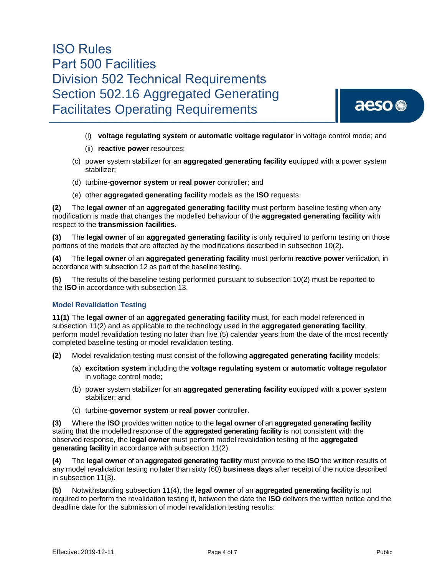

- (i) **voltage regulating system** or **automatic voltage regulator** in voltage control mode; and
- (ii) **reactive power** resources;
- (c) power system stabilizer for an **aggregated generating facility** equipped with a power system stabilizer;
- (d) turbine-**governor system** or **real power** controller; and
- (e) other **aggregated generating facility** models as the **ISO** requests.

**(2)** The **legal owner** of an **aggregated generating facility** must perform baseline testing when any modification is made that changes the modelled behaviour of the **aggregated generating facility** with respect to the **transmission facilities**.

**(3)** The **legal owner** of an **aggregated generating facility** is only required to perform testing on those portions of the models that are affected by the modifications described in subsection 10(2).

**(4)** The **legal owner** of an **aggregated generating facility** must perform **reactive power** verification, in accordance with subsection 12 as part of the baseline testing.

**(5)** The results of the baseline testing performed pursuant to subsection 10(2) must be reported to the **ISO** in accordance with subsection 13.

### **Model Revalidation Testing**

**11(1)** The **legal owner** of an **aggregated generating facility** must, for each model referenced in subsection 11(2) and as applicable to the technology used in the **aggregated generating facility**, perform model revalidation testing no later than five (5) calendar years from the date of the most recently completed baseline testing or model revalidation testing.

- **(2)** Model revalidation testing must consist of the following **aggregated generating facility** models:
	- (a) **excitation system** including the **voltage regulating system** or **automatic voltage regulator**  in voltage control mode;
	- (b) power system stabilizer for an **aggregated generating facility** equipped with a power system stabilizer; and
	- (c) turbine-**governor system** or **real power** controller.

**(3)** Where the **ISO** provides written notice to the **legal owner** of an **aggregated generating facility**  stating that the modelled response of the **aggregated generating facility** is not consistent with the observed response, the **legal owner** must perform model revalidation testing of the **aggregated generating facility** in accordance with subsection 11(2).

**(4)** The **legal owner** of an **aggregated generating facility** must provide to the **ISO** the written results of any model revalidation testing no later than sixty (60) **business days** after receipt of the notice described in subsection 11(3).

**(5)** Notwithstanding subsection 11(4), the **legal owner** of an **aggregated generating facility** is not required to perform the revalidation testing if, between the date the **ISO** delivers the written notice and the deadline date for the submission of model revalidation testing results: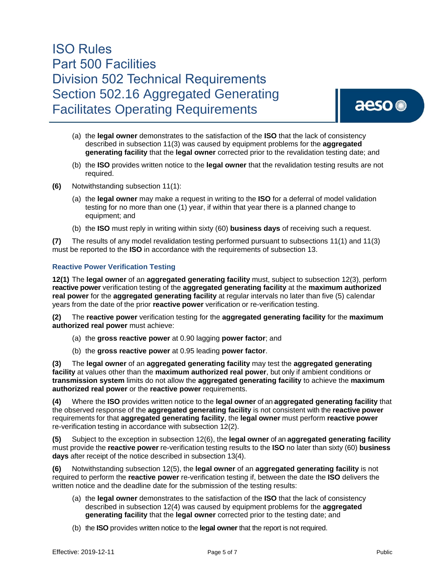aeso<sup>®</sup>

- (a) the **legal owner** demonstrates to the satisfaction of the **ISO** that the lack of consistency described in subsection 11(3) was caused by equipment problems for the **aggregated generating facility** that the **legal owner** corrected prior to the revalidation testing date; and
- (b) the **ISO** provides written notice to the **legal owner** that the revalidation testing results are not required.
- **(6)** Notwithstanding subsection 11(1):
	- (a) the **legal owner** may make a request in writing to the **ISO** for a deferral of model validation testing for no more than one (1) year, if within that year there is a planned change to equipment; and
	- (b) the **ISO** must reply in writing within sixty (60) **business days** of receiving such a request.

**(7)** The results of any model revalidation testing performed pursuant to subsections 11(1) and 11(3) must be reported to the **ISO** in accordance with the requirements of subsection 13.

### **Reactive Power Verification Testing**

**12(1)** The **legal owner** of an **aggregated generating facility** must, subject to subsection 12(3), perform **reactive power** verification testing of the **aggregated generating facility** at the **maximum authorized real power** for the **aggregated generating facility** at regular intervals no later than five (5) calendar years from the date of the prior **reactive power** verification or re-verification testing.

**(2)** The **reactive power** verification testing for the **aggregated generating facility** for the **maximum authorized real power** must achieve:

- (a) the **gross reactive power** at 0.90 lagging **power factor**; and
- (b) the **gross reactive power** at 0.95 leading **power factor**.

**(3)** The **legal owner** of an **aggregated generating facility** may test the **aggregated generating facility** at values other than the **maximum authorized real power**, but only if ambient conditions or **transmission system** limits do not allow the **aggregated generating facility** to achieve the **maximum authorized real power** or the **reactive power** requirements.

**(4)** Where the **ISO** provides written notice to the **legal owner** of an **aggregated generating facility** that the observed response of the **aggregated generating facility** is not consistent with the **reactive power** requirements for that **aggregated generating facility**, the **legal owner** must perform **reactive power** re-verification testing in accordance with subsection 12(2).

**(5)** Subject to the exception in subsection 12(6), the **legal owner** of an **aggregated generating facility**  must provide the **reactive power** re-verification testing results to the **ISO** no later than sixty (60) **business days** after receipt of the notice described in subsection 13(4).

**(6)** Notwithstanding subsection 12(5), the **legal owner** of an **aggregated generating facility** is not required to perform the **reactive power** re-verification testing if, between the date the **ISO** delivers the written notice and the deadline date for the submission of the testing results:

- (a) the **legal owner** demonstrates to the satisfaction of the **ISO** that the lack of consistency described in subsection 12(4) was caused by equipment problems for the **aggregated generating facility** that the **legal owner** corrected prior to the testing date; and
- (b) the **ISO** provides written notice to the **legal owner** that the report is not required.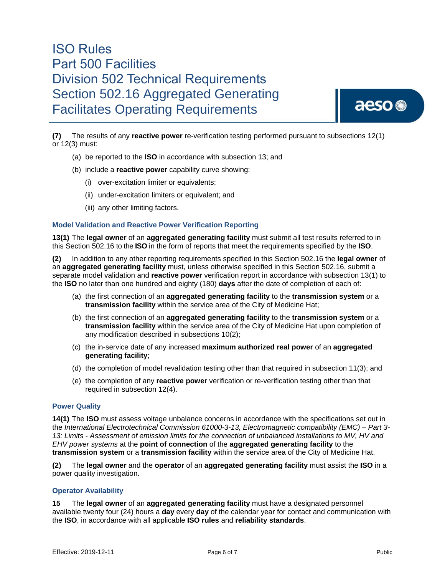aeso<sup>®</sup>

**(7)** The results of any **reactive power** re-verification testing performed pursuant to subsections 12(1) or 12(3) must:

- (a) be reported to the **ISO** in accordance with subsection 13; and
- (b) include a **reactive power** capability curve showing:
	- (i) over-excitation limiter or equivalents;
	- (ii) under-excitation limiters or equivalent; and
	- (iii) any other limiting factors.

#### **Model Validation and Reactive Power Verification Reporting**

**13(1)** The **legal owner** of an **aggregated generating facility** must submit all test results referred to in this Section 502.16 to the **ISO** in the form of reports that meet the requirements specified by the **ISO**.

**(2)** In addition to any other reporting requirements specified in this Section 502.16 the **legal owner** of an **aggregated generating facility** must, unless otherwise specified in this Section 502.16, submit a separate model validation and **reactive power** verification report in accordance with subsection 13(1) to the **ISO** no later than one hundred and eighty (180) **days** after the date of completion of each of:

- (a) the first connection of an **aggregated generating facility** to the **transmission system** or a **transmission facility** within the service area of the City of Medicine Hat;
- (b) the first connection of an **aggregated generating facility** to the **transmission system** or a **transmission facility** within the service area of the City of Medicine Hat upon completion of any modification described in subsections 10(2);
- (c) the in-service date of any increased **maximum authorized real power** of an **aggregated generating facility**;
- (d) the completion of model revalidation testing other than that required in subsection 11(3); and
- (e) the completion of any **reactive power** verification or re-verification testing other than that required in subsection 12(4).

#### **Power Quality**

**14(1)** The **ISO** must assess voltage unbalance concerns in accordance with the specifications set out in the *International Electrotechnical Commission 61000-3-13, Electromagnetic compatibility (EMC) – Part 3- 13: Limits - Assessment of emission limits for the connection of unbalanced installations to MV, HV and EHV power systems* at the **point of connection** of the **aggregated generating facility** to the **transmission system** or a **transmission facility** within the service area of the City of Medicine Hat.

**(2)** The **legal owner** and the **operator** of an **aggregated generating facility** must assist the **ISO** in a power quality investigation.

#### **Operator Availability**

**15** The **legal owner** of an **aggregated generating facility** must have a designated personnel available twenty four (24) hours a **day** every **day** of the calendar year for contact and communication with the **ISO**, in accordance with all applicable **ISO rules** and **reliability standards**.